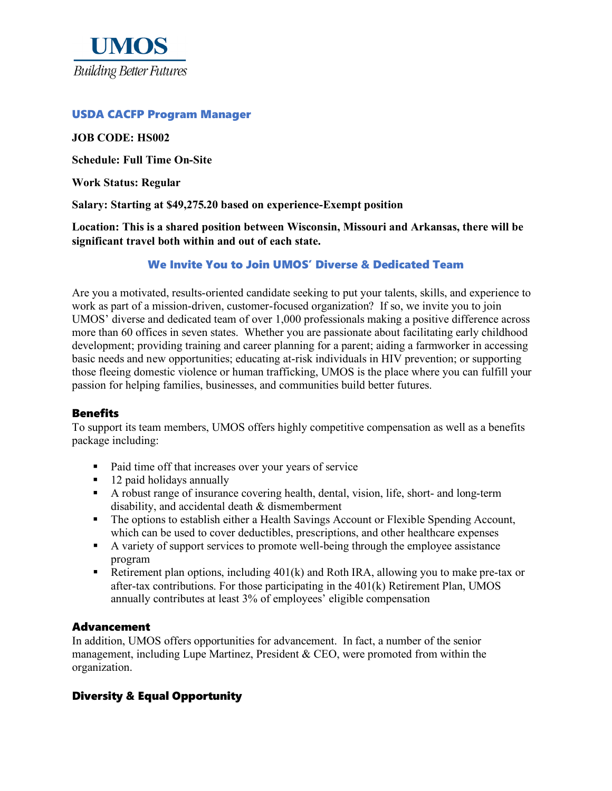

### USDA CACFP Program Manager

#### **JOB CODE: HS002**

**Schedule: Full Time On-Site**

**Work Status: Regular**

**Salary: Starting at \$49,275.20 based on experience-Exempt position**

**Location: This is a shared position between Wisconsin, Missouri and Arkansas, there will be significant travel both within and out of each state.**

We Invite You to Join UMOS' Diverse & Dedicated Team

Are you a motivated, results-oriented candidate seeking to put your talents, skills, and experience to work as part of a mission-driven, customer-focused organization? If so, we invite you to join UMOS' diverse and dedicated team of over 1,000 professionals making a positive difference across more than 60 offices in seven states. Whether you are passionate about facilitating early childhood development; providing training and career planning for a parent; aiding a farmworker in accessing basic needs and new opportunities; educating at-risk individuals in HIV prevention; or supporting those fleeing domestic violence or human trafficking, UMOS is the place where you can fulfill your passion for helping families, businesses, and communities build better futures.

### **Benefits**

To support its team members, UMOS offers highly competitive compensation as well as a benefits package including:

- Paid time off that increases over your years of service
- $\blacksquare$  12 paid holidays annually
- A robust range of insurance covering health, dental, vision, life, short- and long-term disability, and accidental death & dismemberment
- The options to establish either a Health Savings Account or Flexible Spending Account, which can be used to cover deductibles, prescriptions, and other healthcare expenses
- A variety of support services to promote well-being through the employee assistance program
- Retirement plan options, including  $401(k)$  and Roth IRA, allowing you to make pre-tax or after-tax contributions. For those participating in the 401(k) Retirement Plan, UMOS annually contributes at least 3% of employees' eligible compensation

### Advancement

In addition, UMOS offers opportunities for advancement. In fact, a number of the senior management, including Lupe Martinez, President & CEO, were promoted from within the organization.

## Diversity & Equal Opportunity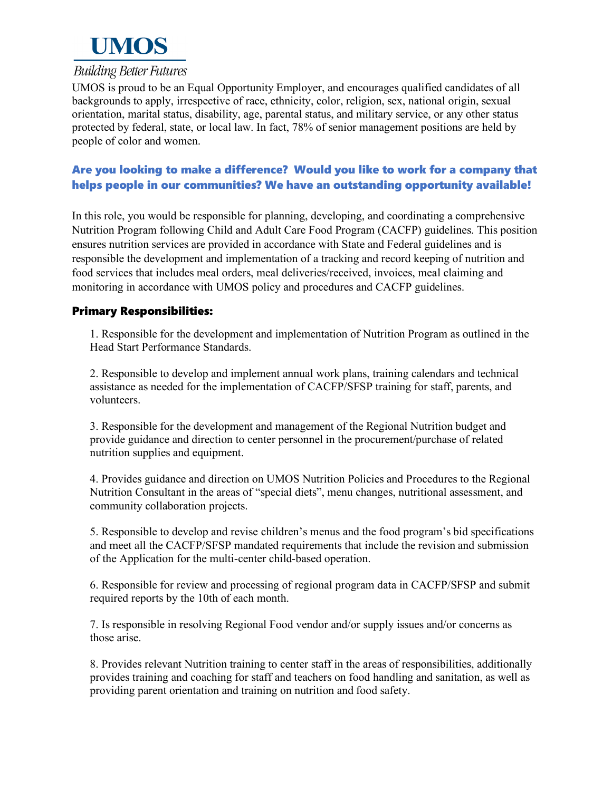

# **Building Better Futures**

UMOS is proud to be an Equal Opportunity Employer, and encourages qualified candidates of all backgrounds to apply, irrespective of race, ethnicity, color, religion, sex, national origin, sexual orientation, marital status, disability, age, parental status, and military service, or any other status protected by federal, state, or local law. In fact, 78% of senior management positions are held by people of color and women.

# Are you looking to make a difference? Would you like to work for a company that helps people in our communities? We have an outstanding opportunity available!

In this role, you would be responsible for planning, developing, and coordinating a comprehensive Nutrition Program following Child and Adult Care Food Program (CACFP) guidelines. This position ensures nutrition services are provided in accordance with State and Federal guidelines and is responsible the development and implementation of a tracking and record keeping of nutrition and food services that includes meal orders, meal deliveries/received, invoices, meal claiming and monitoring in accordance with UMOS policy and procedures and CACFP guidelines.

## Primary Responsibilities:

1. Responsible for the development and implementation of Nutrition Program as outlined in the Head Start Performance Standards.

2. Responsible to develop and implement annual work plans, training calendars and technical assistance as needed for the implementation of CACFP/SFSP training for staff, parents, and volunteers.

3. Responsible for the development and management of the Regional Nutrition budget and provide guidance and direction to center personnel in the procurement/purchase of related nutrition supplies and equipment.

4. Provides guidance and direction on UMOS Nutrition Policies and Procedures to the Regional Nutrition Consultant in the areas of "special diets", menu changes, nutritional assessment, and community collaboration projects.

5. Responsible to develop and revise children's menus and the food program's bid specifications and meet all the CACFP/SFSP mandated requirements that include the revision and submission of the Application for the multi-center child-based operation.

6. Responsible for review and processing of regional program data in CACFP/SFSP and submit required reports by the 10th of each month.

7. Is responsible in resolving Regional Food vendor and/or supply issues and/or concerns as those arise.

8. Provides relevant Nutrition training to center staff in the areas of responsibilities, additionally provides training and coaching for staff and teachers on food handling and sanitation, as well as providing parent orientation and training on nutrition and food safety.